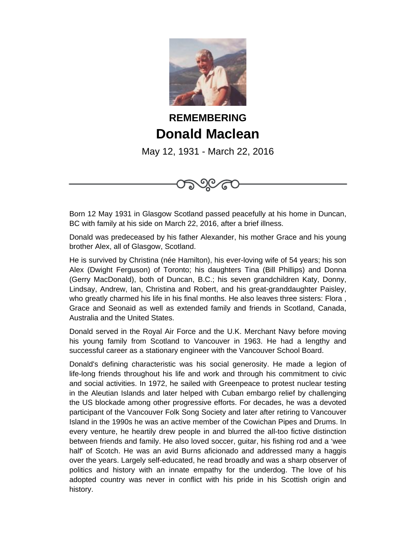

## **REMEMBERING Donald Maclean**

May 12, 1931 - March 22, 2016

৩©∕ে

Born 12 May 1931 in Glasgow Scotland passed peacefully at his home in Duncan, BC with family at his side on March 22, 2016, after a brief illness.

Donald was predeceased by his father Alexander, his mother Grace and his young brother Alex, all of Glasgow, Scotland.

He is survived by Christina (née Hamilton), his ever-loving wife of 54 years; his son Alex (Dwight Ferguson) of Toronto; his daughters Tina (Bill Phillips) and Donna (Gerry MacDonald), both of Duncan, B.C.; his seven grandchildren Katy, Donny, Lindsay, Andrew, Ian, Christina and Robert, and his great-granddaughter Paisley, who greatly charmed his life in his final months. He also leaves three sisters: Flora , Grace and Seonaid as well as extended family and friends in Scotland, Canada, Australia and the United States.

Donald served in the Royal Air Force and the U.K. Merchant Navy before moving his young family from Scotland to Vancouver in 1963. He had a lengthy and successful career as a stationary engineer with the Vancouver School Board.

Donald's defining characteristic was his social generosity. He made a legion of life-long friends throughout his life and work and through his commitment to civic and social activities. In 1972, he sailed with Greenpeace to protest nuclear testing in the Aleutian Islands and later helped with Cuban embargo relief by challenging the US blockade among other progressive efforts. For decades, he was a devoted participant of the Vancouver Folk Song Society and later after retiring to Vancouver Island in the 1990s he was an active member of the Cowichan Pipes and Drums. In every venture, he heartily drew people in and blurred the all-too fictive distinction between friends and family. He also loved soccer, guitar, his fishing rod and a 'wee half' of Scotch. He was an avid Burns aficionado and addressed many a haggis over the years. Largely self-educated, he read broadly and was a sharp observer of politics and history with an innate empathy for the underdog. The love of his adopted country was never in conflict with his pride in his Scottish origin and history.